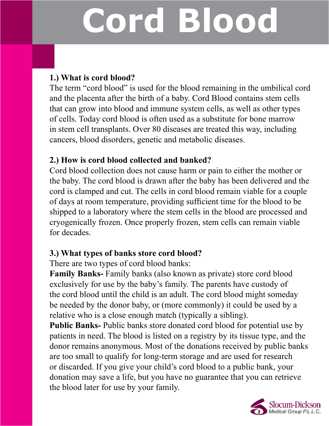# **Cord Blood**

#### **1.) What is cord blood?**

The term "cord blood" is used for the blood remaining in the umbilical cord and the placenta after the birth of a baby. Cord Blood contains stem cells that can grow into blood and immune system cells, as well as other types of cells. Today cord blood is often used as a substitute for bone marrow in stem cell transplants. Over 80 diseases are treated this way, including cancers, blood disorders, genetic and metabolic diseases.

#### **2.) How is cord blood collected and banked?**

Cord blood collection does not cause harm or pain to either the mother or the baby. The cord blood is drawn after the baby has been delivered and the cord is clamped and cut. The cells in cord blood remain viable for a couple of days at room temperature, providing sufficient time for the blood to be shipped to a laboratory where the stem cells in the blood are processed and cryogenically frozen. Once properly frozen, stem cells can remain viable for decades.

### **3.) What types of banks store cord blood?**

There are two types of cord blood banks:

**Family Banks-** Family banks (also known as private) store cord blood exclusively for use by the baby's family. The parents have custody of the cord blood until the child is an adult. The cord blood might someday be needed by the donor baby, or (more commonly) it could be used by a relative who is a close enough match (typically a sibling).

**Public Banks-** Public banks store donated cord blood for potential use by patients in need. The blood is listed on a registry by its tissue type, and the donor remains anonymous. Most of the donations received by public banks are too small to qualify for long-term storage and are used for research or discarded. If you give your child's cord blood to a public bank, your donation may save a life, but you have no guarantee that you can retrieve the blood later for use by your family.

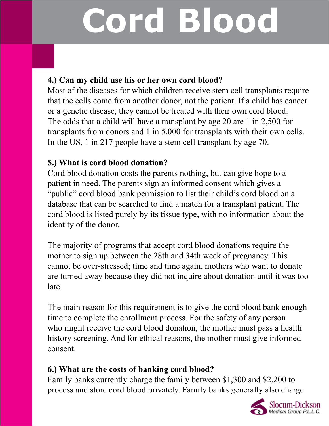# **Cord Blood**

#### **4.) Can my child use his or her own cord blood?**

Most of the diseases for which children receive stem cell transplants require that the cells come from another donor, not the patient. If a child has cancer or a genetic disease, they cannot be treated with their own cord blood. The odds that a child will have a transplant by age 20 are 1 in 2,500 for transplants from donors and 1 in 5,000 for transplants with their own cells. In the US, 1 in 217 people have a stem cell transplant by age 70.

### **5.) What is cord blood donation?**

Cord blood donation costs the parents nothing, but can give hope to a patient in need. The parents sign an informed consent which gives a "public" cord blood bank permission to list their child's cord blood on a database that can be searched to find a match for a transplant patient. The cord blood is listed purely by its tissue type, with no information about the identity of the donor.

The majority of programs that accept cord blood donations require the mother to sign up between the 28th and 34th week of pregnancy. This cannot be over-stressed; time and time again, mothers who want to donate are turned away because they did not inquire about donation until it was too late.

The main reason for this requirement is to give the cord blood bank enough time to complete the enrollment process. For the safety of any person who might receive the cord blood donation, the mother must pass a health history screening. And for ethical reasons, the mother must give informed consent.

### **6.) What are the costs of banking cord blood?**

Family banks currently charge the family between \$1,300 and \$2,200 to process and store cord blood privately. Family banks generally also charge